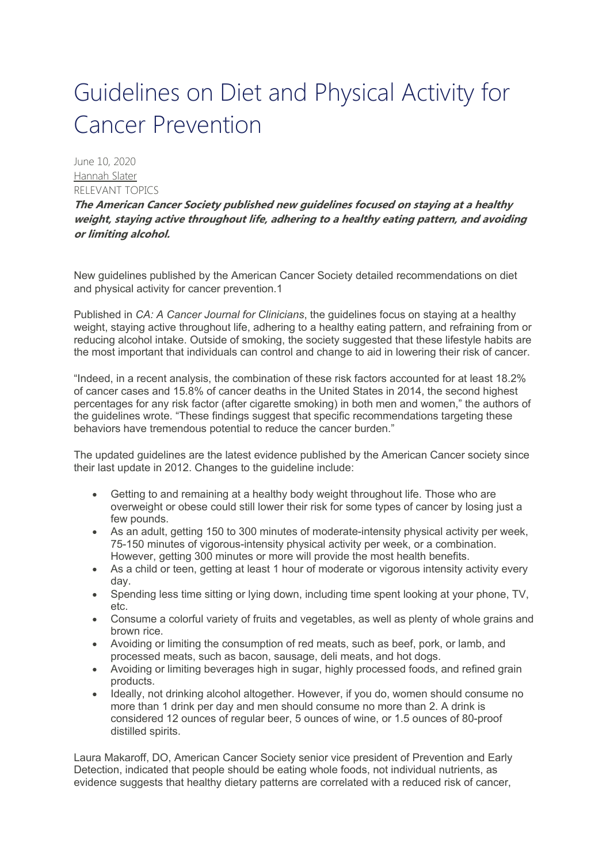## Guidelines on Diet and Physical Activity for Cancer Prevention

June 10, 2020 Hannah Slater RELEVANT TOPICS

**The American Cancer Society published new guidelines focused on staying at a healthy weight, staying active throughout life, adhering to a healthy eating pattern, and avoiding or limiting alcohol.**

New guidelines published by the American Cancer Society detailed recommendations on diet and physical activity for cancer prevention.1

Published in *CA: A Cancer Journal for Clinicians*, the guidelines focus on staying at a healthy weight, staying active throughout life, adhering to a healthy eating pattern, and refraining from or reducing alcohol intake. Outside of smoking, the society suggested that these lifestyle habits are the most important that individuals can control and change to aid in lowering their risk of cancer.

"Indeed, in a recent analysis, the combination of these risk factors accounted for at least 18.2% of cancer cases and 15.8% of cancer deaths in the United States in 2014, the second highest percentages for any risk factor (after cigarette smoking) in both men and women," the authors of the guidelines wrote. "These findings suggest that specific recommendations targeting these behaviors have tremendous potential to reduce the cancer burden."

The updated guidelines are the latest evidence published by the American Cancer society since their last update in 2012. Changes to the guideline include:

- Getting to and remaining at a healthy body weight throughout life. Those who are overweight or obese could still lower their risk for some types of cancer by losing just a few pounds.
- As an adult, getting 150 to 300 minutes of moderate-intensity physical activity per week, 75-150 minutes of vigorous-intensity physical activity per week, or a combination. However, getting 300 minutes or more will provide the most health benefits.
- As a child or teen, getting at least 1 hour of moderate or vigorous intensity activity every day.
- Spending less time sitting or lying down, including time spent looking at your phone, TV, etc.
- Consume a colorful variety of fruits and vegetables, as well as plenty of whole grains and brown rice.
- Avoiding or limiting the consumption of red meats, such as beef, pork, or lamb, and processed meats, such as bacon, sausage, deli meats, and hot dogs.
- Avoiding or limiting beverages high in sugar, highly processed foods, and refined grain products.
- Ideally, not drinking alcohol altogether. However, if you do, women should consume no more than 1 drink per day and men should consume no more than 2. A drink is considered 12 ounces of regular beer, 5 ounces of wine, or 1.5 ounces of 80-proof distilled spirits.

Laura Makaroff, DO, American Cancer Society senior vice president of Prevention and Early Detection, indicated that people should be eating whole foods, not individual nutrients, as evidence suggests that healthy dietary patterns are correlated with a reduced risk of cancer,